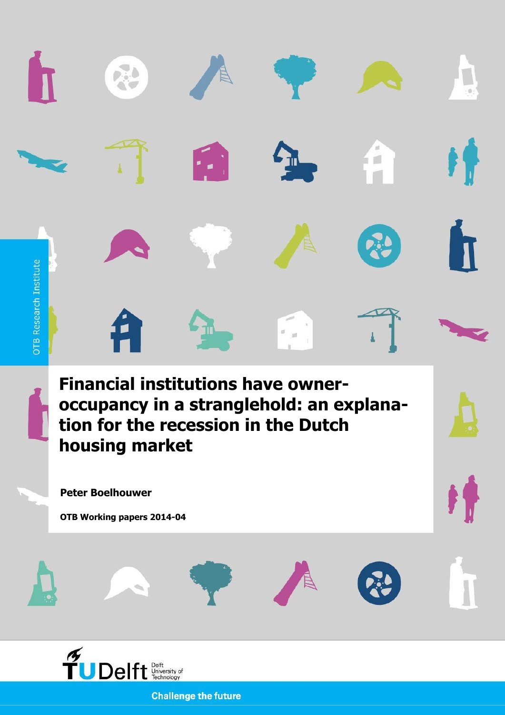

**Challenge the future**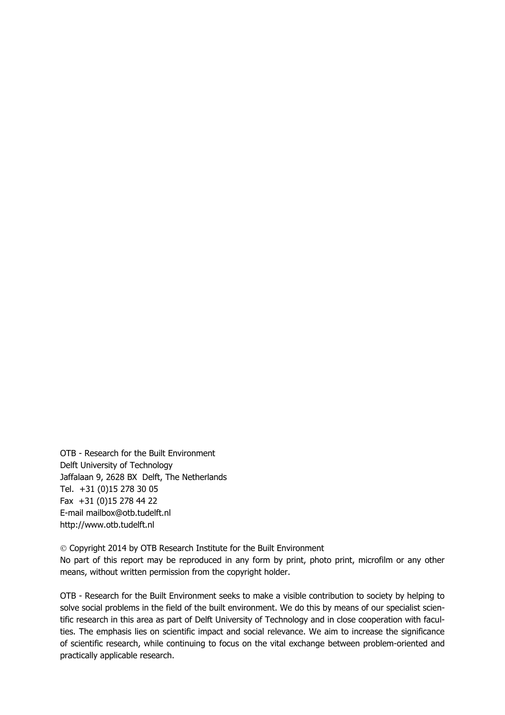OTB - Research for the Built Environment Delft University of Technology Jaffalaan 9, 2628 BX Delft, The Netherlands Tel. +31 (0)15 278 30 05 Fax +31 (0)15 278 44 22 E-mail mailbox@otb.tudelft.nl http://www.otb.tudelft.nl

 Copyright 2014 by OTB Research Institute for the Built Environment No part of this report may be reproduced in any form by print, photo print, microfilm or any other means, without written permission from the copyright holder.

OTB - Research for the Built Environment seeks to make a visible contribution to society by helping to solve social problems in the field of the built environment. We do this by means of our specialist scientific research in this area as part of Delft University of Technology and in close cooperation with faculties. The emphasis lies on scientific impact and social relevance. We aim to increase the significance of scientific research, while continuing to focus on the vital exchange between problem-oriented and practically applicable research.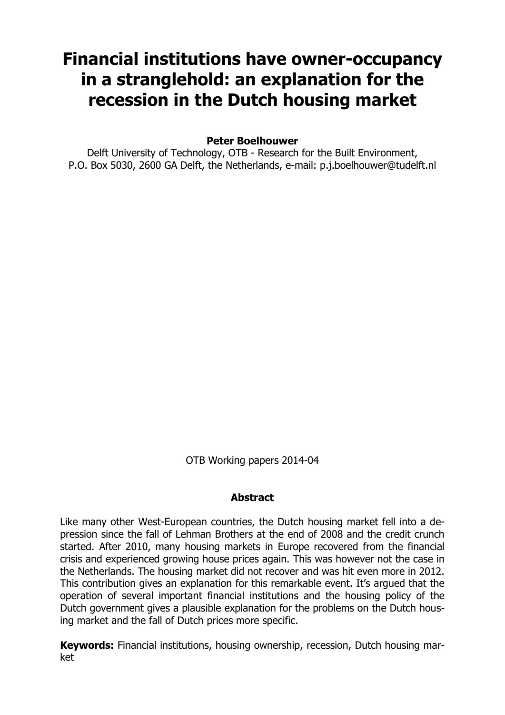# **Financial institutions have owner-occupancy in a stranglehold: an explanation for the recession in the Dutch housing market**

**Peter Boelhouwer**

Delft University of Technology, OTB - Research for the Built Environment, P.O. Box 5030, 2600 GA Delft, the Netherlands, e-mail: p.j.boelhouwer@tudelft.nl

OTB Working papers 2014-04

## **Abstract**

Like many other West-European countries, the Dutch housing market fell into a depression since the fall of Lehman Brothers at the end of 2008 and the credit crunch started. After 2010, many housing markets in Europe recovered from the financial crisis and experienced growing house prices again. This was however not the case in the Netherlands. The housing market did not recover and was hit even more in 2012. This contribution gives an explanation for this remarkable event. It's argued that the operation of several important financial institutions and the housing policy of the Dutch government gives a plausible explanation for the problems on the Dutch housing market and the fall of Dutch prices more specific.

**Keywords:** Financial institutions, housing ownership, recession, Dutch housing market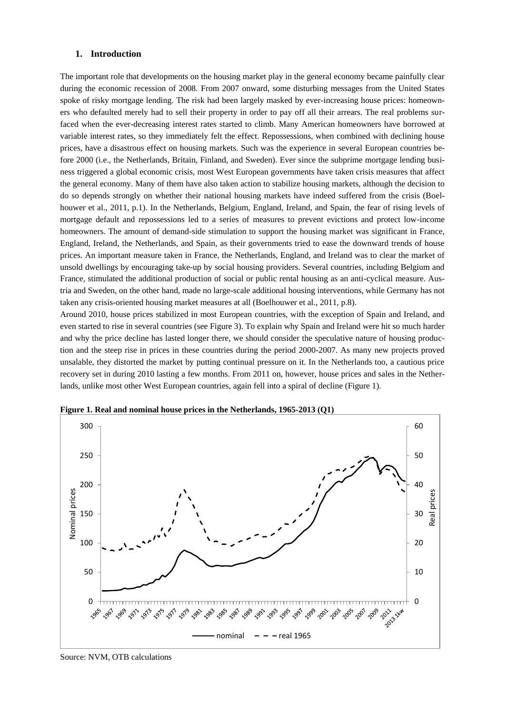#### **1. Introduction**

The important role that developments on the housing market play in the general economy became painfully clear during the economic recession of 2008. From 2007 onward, some disturbing messages from the United States spoke of risky mortgage lending. The risk had been largely masked by ever-increasing house prices: homeowners who defaulted merely had to sell their property in order to pay off all their arrears. The real problems surfaced when the ever-decreasing interest rates started to climb. Many American homeowners have borrowed at variable interest rates, so they immediately felt the effect. Repossessions, when combined with declining house prices, have a disastrous effect on housing markets. Such was the experience in several European countries before 2000 (i.e., the Netherlands, Britain, Finland, and Sweden). Ever since the subprime mortgage lending business triggered a global economic crisis, most West European governments have taken crisis measures that affect the general economy. Many of them have also taken action to stabilize housing markets, although the decision to do so depends strongly on whether their national housing markets have indeed suffered from the crisis (Boelhouwer et al., 2011, p.1). In the Netherlands, Belgium, England, Ireland, and Spain, the fear of rising levels of mortgage default and repossessions led to a series of measures to prevent evictions and protect low-income homeowners. The amount of demand-side stimulation to support the housing market was significant in France, England, Ireland, the Netherlands, and Spain, as their governments tried to ease the downward trends of house prices. An important measure taken in France, the Netherlands, England, and Ireland was to clear the market of unsold dwellings by encouraging take-up by social housing providers. Several countries, including Belgium and France, stimulated the additional production of social or public rental housing as an anti-cyclical measure. Austria and Sweden, on the other hand, made no large-scale additional housing interventions, while Germany has not taken any crisis-oriented housing market measures at all (Boelhouwer et al., 2011, p.8).

Around 2010, house prices stabilized in most European countries, with the exception of Spain and Ireland, and even started to rise in several countries (see Figure 3). To explain why Spain and Ireland were hit so much harder and why the price decline has lasted longer there, we should consider the speculative nature of housing production and the steep rise in prices in these countries during the period 2000-2007. As many new projects proved unsalable, they distorted the market by putting continual pressure on it. In the Netherlands too, a cautious price recovery set in during 2010 lasting a few months. From 2011 on, however, house prices and sales in the Netherlands, unlike most other West European countries, again fell into a spiral of decline (Figure 1).



**Figure 1. Real and nominal house prices in the Netherlands, 1965-2013 (Q1)**

Source: NVM, OTB calculations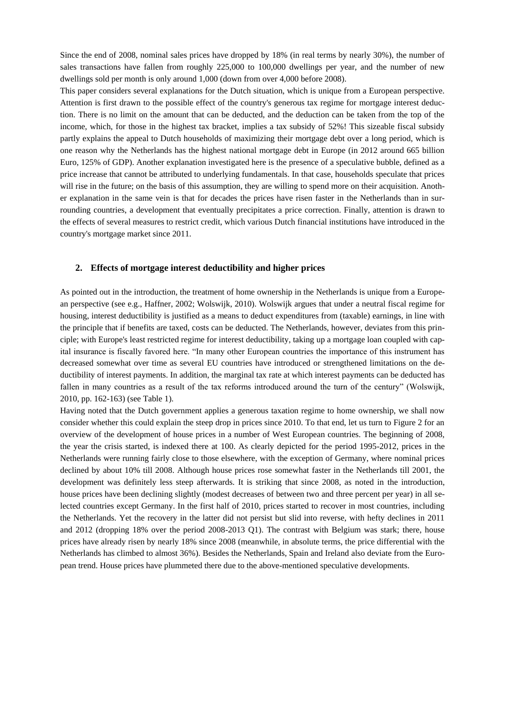Since the end of 2008, nominal sales prices have dropped by 18% (in real terms by nearly 30%), the number of sales transactions have fallen from roughly 225,000 to 100,000 dwellings per year, and the number of new dwellings sold per month is only around 1,000 (down from over 4,000 before 2008).

This paper considers several explanations for the Dutch situation, which is unique from a European perspective. Attention is first drawn to the possible effect of the country's generous tax regime for mortgage interest deduction. There is no limit on the amount that can be deducted, and the deduction can be taken from the top of the income, which, for those in the highest tax bracket, implies a tax subsidy of 52%! This sizeable fiscal subsidy partly explains the appeal to Dutch households of maximizing their mortgage debt over a long period, which is one reason why the Netherlands has the highest national mortgage debt in Europe (in 2012 around 665 billion Euro, 125% of GDP). Another explanation investigated here is the presence of a speculative bubble, defined as a price increase that cannot be attributed to underlying fundamentals. In that case, households speculate that prices will rise in the future; on the basis of this assumption, they are willing to spend more on their acquisition. Another explanation in the same vein is that for decades the prices have risen faster in the Netherlands than in surrounding countries, a development that eventually precipitates a price correction. Finally, attention is drawn to the effects of several measures to restrict credit, which various Dutch financial institutions have introduced in the country's mortgage market since 2011.

#### **2. Effects of mortgage interest deductibility and higher prices**

As pointed out in the introduction, the treatment of home ownership in the Netherlands is unique from a European perspective (see e.g., Haffner, 2002; Wolswijk, 2010). Wolswijk argues that under a neutral fiscal regime for housing, interest deductibility is justified as a means to deduct expenditures from (taxable) earnings, in line with the principle that if benefits are taxed, costs can be deducted. The Netherlands, however, deviates from this principle; with Europe's least restricted regime for interest deductibility, taking up a mortgage loan coupled with capital insurance is fiscally favored here. "In many other European countries the importance of this instrument has decreased somewhat over time as several EU countries have introduced or strengthened limitations on the deductibility of interest payments. In addition, the marginal tax rate at which interest payments can be deducted has fallen in many countries as a result of the tax reforms introduced around the turn of the century" (Wolswijk, 2010, pp. 162-163) (see Table 1).

Having noted that the Dutch government applies a generous taxation regime to home ownership, we shall now consider whether this could explain the steep drop in prices since 2010. To that end, let us turn to Figure 2 for an overview of the development of house prices in a number of West European countries. The beginning of 2008, the year the crisis started, is indexed there at 100. As clearly depicted for the period 1995-2012, prices in the Netherlands were running fairly close to those elsewhere, with the exception of Germany, where nominal prices declined by about 10% till 2008. Although house prices rose somewhat faster in the Netherlands till 2001, the development was definitely less steep afterwards. It is striking that since 2008, as noted in the introduction, house prices have been declining slightly (modest decreases of between two and three percent per year) in all selected countries except Germany. In the first half of 2010, prices started to recover in most countries, including the Netherlands. Yet the recovery in the latter did not persist but slid into reverse, with hefty declines in 2011 and 2012 (dropping 18% over the period 2008-2013 Q1). The contrast with Belgium was stark; there, house prices have already risen by nearly 18% since 2008 (meanwhile, in absolute terms, the price differential with the Netherlands has climbed to almost 36%). Besides the Netherlands, Spain and Ireland also deviate from the European trend. House prices have plummeted there due to the above-mentioned speculative developments.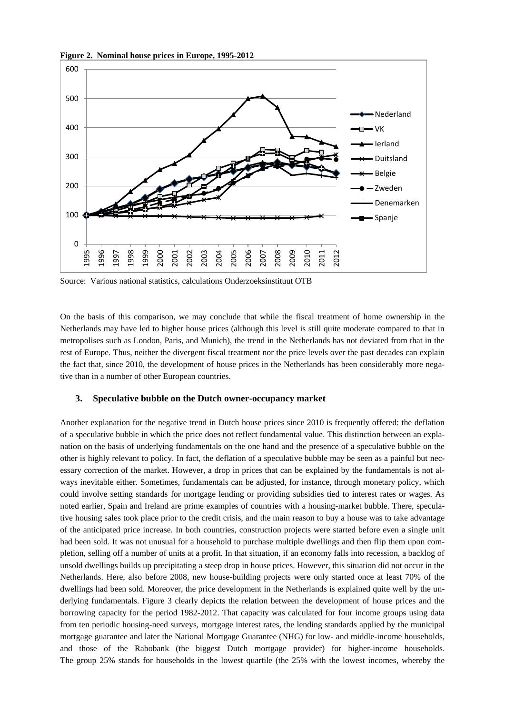

**Figure 2. Nominal house prices in Europe, 1995-2012**

Source: Various national statistics, calculations Onderzoeksinstituut OTB

On the basis of this comparison, we may conclude that while the fiscal treatment of home ownership in the Netherlands may have led to higher house prices (although this level is still quite moderate compared to that in metropolises such as London, Paris, and Munich), the trend in the Netherlands has not deviated from that in the rest of Europe. Thus, neither the divergent fiscal treatment nor the price levels over the past decades can explain the fact that, since 2010, the development of house prices in the Netherlands has been considerably more negative than in a number of other European countries.

#### **3. Speculative bubble on the Dutch owner-occupancy market**

Another explanation for the negative trend in Dutch house prices since 2010 is frequently offered: the deflation of a speculative bubble in which the price does not reflect fundamental value. This distinction between an explanation on the basis of underlying fundamentals on the one hand and the presence of a speculative bubble on the other is highly relevant to policy. In fact, the deflation of a speculative bubble may be seen as a painful but necessary correction of the market. However, a drop in prices that can be explained by the fundamentals is not always inevitable either. Sometimes, fundamentals can be adjusted, for instance, through monetary policy, which could involve setting standards for mortgage lending or providing subsidies tied to interest rates or wages. As noted earlier, Spain and Ireland are prime examples of countries with a housing-market bubble. There, speculative housing sales took place prior to the credit crisis, and the main reason to buy a house was to take advantage of the anticipated price increase. In both countries, construction projects were started before even a single unit had been sold. It was not unusual for a household to purchase multiple dwellings and then flip them upon completion, selling off a number of units at a profit. In that situation, if an economy falls into recession, a backlog of unsold dwellings builds up precipitating a steep drop in house prices. However, this situation did not occur in the Netherlands. Here, also before 2008, new house-building projects were only started once at least 70% of the dwellings had been sold. Moreover, the price development in the Netherlands is explained quite well by the underlying fundamentals. Figure 3 clearly depicts the relation between the development of house prices and the borrowing capacity for the period 1982-2012. That capacity was calculated for four income groups using data from ten periodic housing-need surveys, mortgage interest rates, the lending standards applied by the municipal mortgage guarantee and later the National Mortgage Guarantee (NHG) for low- and middle-income households, and those of the Rabobank (the biggest Dutch mortgage provider) for higher-income households. The group 25% stands for households in the lowest quartile (the 25% with the lowest incomes, whereby the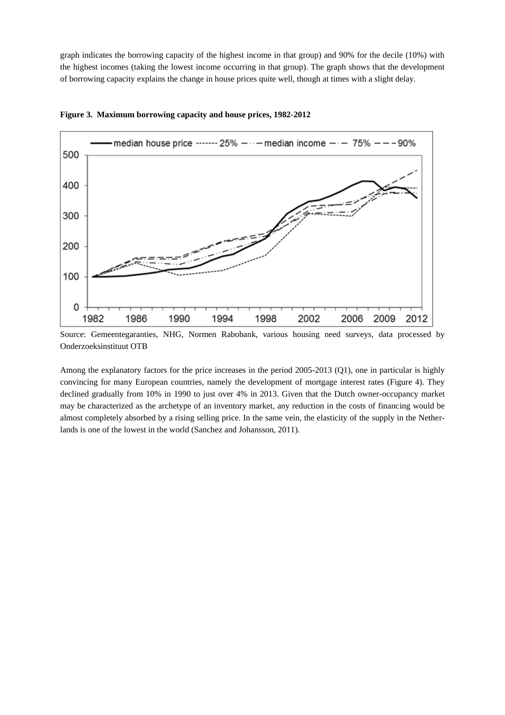graph indicates the borrowing capacity of the highest income in that group) and 90% for the decile (10%) with the highest incomes (taking the lowest income occurring in that group). The graph shows that the development of borrowing capacity explains the change in house prices quite well, though at times with a slight delay.



**Figure 3. Maximum borrowing capacity and house prices, 1982-2012**

Among the explanatory factors for the price increases in the period 2005-2013 (Q1), one in particular is highly convincing for many European countries, namely the development of mortgage interest rates (Figure 4). They declined gradually from 10% in 1990 to just over 4% in 2013. Given that the Dutch owner-occupancy market may be characterized as the archetype of an inventory market, any reduction in the costs of financing would be almost completely absorbed by a rising selling price. In the same vein, the elasticity of the supply in the Netherlands is one of the lowest in the world (Sanchez and Johansson, 2011).

Source: Gemeentegaranties, NHG, Normen Rabobank, various housing need surveys, data processed by Onderzoeksinstituut OTB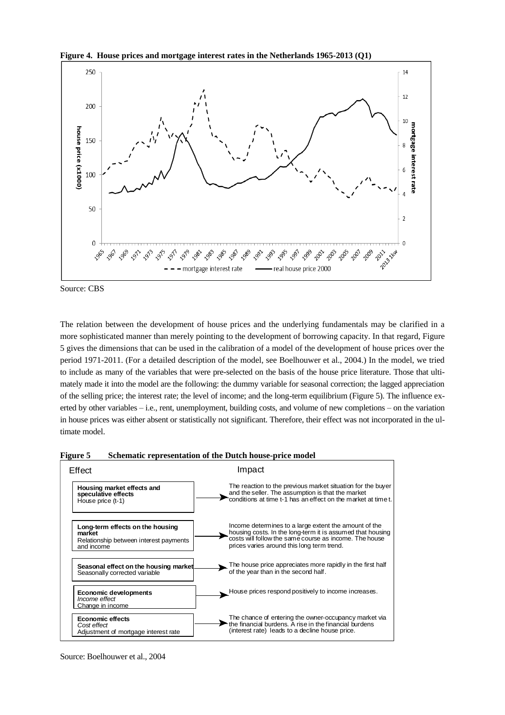



Source: CBS

The relation between the development of house prices and the underlying fundamentals may be clarified in a more sophisticated manner than merely pointing to the development of borrowing capacity. In that regard, Figure 5 gives the dimensions that can be used in the calibration of a model of the development of house prices over the period 1971-2011. (For a detailed description of the model, see Boelhouwer et al., 2004.) In the model, we tried to include as many of the variables that were pre-selected on the basis of the house price literature. Those that ultimately made it into the model are the following: the dummy variable for seasonal correction; the lagged appreciation of the selling price; the interest rate; the level of income; and the long-term equilibrium (Figure 5). The influence exerted by other variables – i.e., rent, unemployment, building costs, and volume of new completions – on the variation in house prices was either absent or statistically not significant. Therefore, their effect was not incorporated in the ultimate model.





Source: Boelhouwer et al., 2004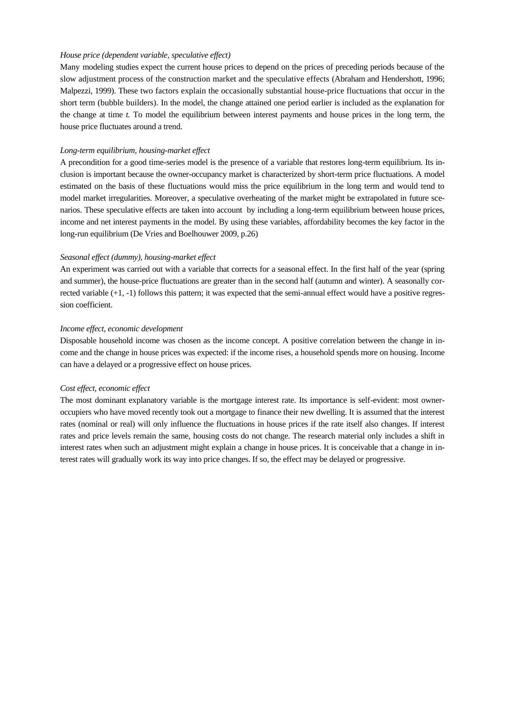#### *House price (dependent variable, speculative effect)*

Many modeling studies expect the current house prices to depend on the prices of preceding periods because of the slow adjustment process of the construction market and the speculative effects (Abraham and Hendershott, 1996; Malpezzi, 1999). These two factors explain the occasionally substantial house-price fluctuations that occur in the short term (bubble builders). In the model, the change attained one period earlier is included as the explanation for the change at time *t.* To model the equilibrium between interest payments and house prices in the long term, the house price fluctuates around a trend.

#### *Long-term equilibrium, housing-market effect*

A precondition for a good time-series model is the presence of a variable that restores long-term equilibrium. Its inclusion is important because the owner-occupancy market is characterized by short-term price fluctuations. A model estimated on the basis of these fluctuations would miss the price equilibrium in the long term and would tend to model market irregularities. Moreover, a speculative overheating of the market might be extrapolated in future scenarios. These speculative effects are taken into account by including a long-term equilibrium between house prices, income and net interest payments in the model. By using these variables, affordability becomes the key factor in the long-run equilibrium (De Vries and Boelhouwer 2009, p.26)

#### *Seasonal effect (dummy), housing-market effect*

An experiment was carried out with a variable that corrects for a seasonal effect. In the first half of the year (spring and summer), the house-price fluctuations are greater than in the second half (autumn and winter). A seasonally corrected variable (+1, -1) follows this pattern; it was expected that the semi-annual effect would have a positive regression coefficient.

#### *Income effect, economic development*

Disposable household income was chosen as the income concept. A positive correlation between the change in income and the change in house prices was expected: if the income rises, a household spends more on housing. Income can have a delayed or a progressive effect on house prices.

#### *Cost effect, economic effect*

The most dominant explanatory variable is the mortgage interest rate. Its importance is self-evident: most owneroccupiers who have moved recently took out a mortgage to finance their new dwelling. It is assumed that the interest rates (nominal or real) will only influence the fluctuations in house prices if the rate itself also changes. If interest rates and price levels remain the same, housing costs do not change. The research material only includes a shift in interest rates when such an adjustment might explain a change in house prices. It is conceivable that a change in interest rates will gradually work its way into price changes. If so, the effect may be delayed or progressive.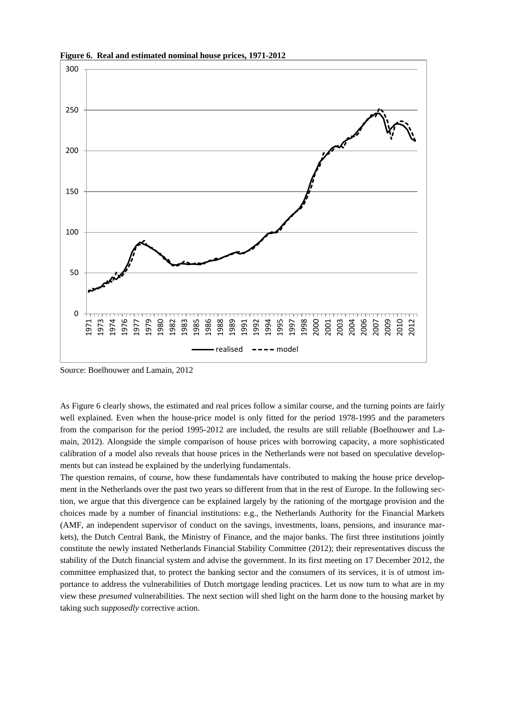

**Figure 6. Real and estimated nominal house prices, 1971-2012**

Source: Boelhouwer and Lamain, 2012

As Figure 6 clearly shows, the estimated and real prices follow a similar course, and the turning points are fairly well explained. Even when the house-price model is only fitted for the period 1978-1995 and the parameters from the comparison for the period 1995-2012 are included, the results are still reliable (Boelhouwer and Lamain, 2012). Alongside the simple comparison of house prices with borrowing capacity, a more sophisticated calibration of a model also reveals that house prices in the Netherlands were not based on speculative developments but can instead be explained by the underlying fundamentals.

The question remains, of course, how these fundamentals have contributed to making the house price development in the Netherlands over the past two years so different from that in the rest of Europe. In the following section, we argue that this divergence can be explained largely by the rationing of the mortgage provision and the choices made by a number of financial institutions: e.g., the Netherlands Authority for the Financial Markets (AMF, an independent supervisor of conduct on the savings, investments, loans, pensions, and insurance markets), the Dutch Central Bank, the Ministry of Finance, and the major banks. The first three institutions jointly constitute the newly instated Netherlands Financial Stability Committee (2012); their representatives discuss the stability of the Dutch financial system and advise the government. In its first meeting on 17 December 2012, the committee emphasized that, to protect the banking sector and the consumers of its services, it is of utmost importance to address the vulnerabilities of Dutch mortgage lending practices. Let us now turn to what are in my view these *presumed* vulnerabilities. The next section will shed light on the harm done to the housing market by taking such *supposedly* corrective action.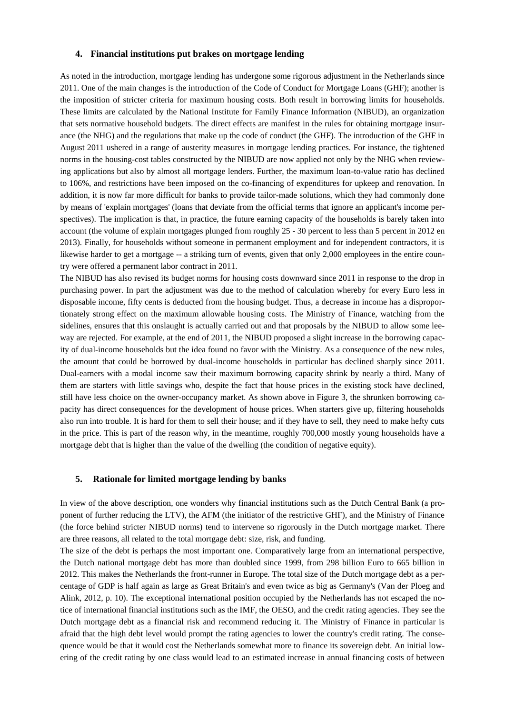#### **4. Financial institutions put brakes on mortgage lending**

As noted in the introduction, mortgage lending has undergone some rigorous adjustment in the Netherlands since 2011. One of the main changes is the introduction of the Code of Conduct for Mortgage Loans (GHF); another is the imposition of stricter criteria for maximum housing costs. Both result in borrowing limits for households. These limits are calculated by the National Institute for Family Finance Information (NIBUD), an organization that sets normative household budgets. The direct effects are manifest in the rules for obtaining mortgage insurance (the NHG) and the regulations that make up the code of conduct (the GHF). The introduction of the GHF in August 2011 ushered in a range of austerity measures in mortgage lending practices. For instance, the tightened norms in the housing-cost tables constructed by the NIBUD are now applied not only by the NHG when reviewing applications but also by almost all mortgage lenders. Further, the maximum loan-to-value ratio has declined to 106%, and restrictions have been imposed on the co-financing of expenditures for upkeep and renovation. In addition, it is now far more difficult for banks to provide tailor-made solutions, which they had commonly done by means of 'explain mortgages' (loans that deviate from the official terms that ignore an applicant's income perspectives). The implication is that, in practice, the future earning capacity of the households is barely taken into account (the volume of explain mortgages plunged from roughly 25 - 30 percent to less than 5 percent in 2012 en 2013). Finally, for households without someone in permanent employment and for independent contractors, it is likewise harder to get a mortgage -- a striking turn of events, given that only 2,000 employees in the entire country were offered a permanent labor contract in 2011.

The NIBUD has also revised its budget norms for housing costs downward since 2011 in response to the drop in purchasing power. In part the adjustment was due to the method of calculation whereby for every Euro less in disposable income, fifty cents is deducted from the housing budget. Thus, a decrease in income has a disproportionately strong effect on the maximum allowable housing costs. The Ministry of Finance, watching from the sidelines, ensures that this onslaught is actually carried out and that proposals by the NIBUD to allow some leeway are rejected. For example, at the end of 2011, the NIBUD proposed a slight increase in the borrowing capacity of dual-income households but the idea found no favor with the Ministry. As a consequence of the new rules, the amount that could be borrowed by dual-income households in particular has declined sharply since 2011. Dual-earners with a modal income saw their maximum borrowing capacity shrink by nearly a third. Many of them are starters with little savings who, despite the fact that house prices in the existing stock have declined, still have less choice on the owner-occupancy market. As shown above in Figure 3, the shrunken borrowing capacity has direct consequences for the development of house prices. When starters give up, filtering households also run into trouble. It is hard for them to sell their house; and if they have to sell, they need to make hefty cuts in the price. This is part of the reason why, in the meantime, roughly 700,000 mostly young households have a mortgage debt that is higher than the value of the dwelling (the condition of negative equity).

#### **5. Rationale for limited mortgage lending by banks**

In view of the above description, one wonders why financial institutions such as the Dutch Central Bank (a proponent of further reducing the LTV), the AFM (the initiator of the restrictive GHF), and the Ministry of Finance (the force behind stricter NIBUD norms) tend to intervene so rigorously in the Dutch mortgage market. There are three reasons, all related to the total mortgage debt: size, risk, and funding.

The size of the debt is perhaps the most important one. Comparatively large from an international perspective, the Dutch national mortgage debt has more than doubled since 1999, from 298 billion Euro to 665 billion in 2012. This makes the Netherlands the front-runner in Europe. The total size of the Dutch mortgage debt as a percentage of GDP is half again as large as Great Britain's and even twice as big as Germany's (Van der Ploeg and Alink, 2012, p. 10). The exceptional international position occupied by the Netherlands has not escaped the notice of international financial institutions such as the IMF, the OESO, and the credit rating agencies. They see the Dutch mortgage debt as a financial risk and recommend reducing it. The Ministry of Finance in particular is afraid that the high debt level would prompt the rating agencies to lower the country's credit rating. The consequence would be that it would cost the Netherlands somewhat more to finance its sovereign debt. An initial lowering of the credit rating by one class would lead to an estimated increase in annual financing costs of between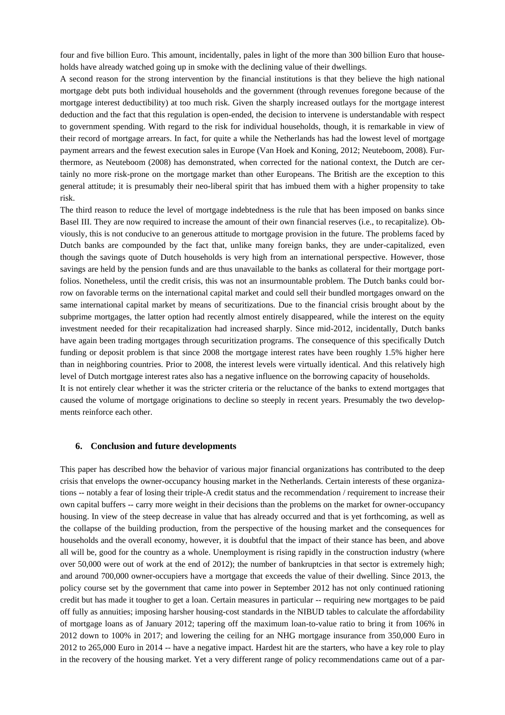four and five billion Euro. This amount, incidentally, pales in light of the more than 300 billion Euro that households have already watched going up in smoke with the declining value of their dwellings.

A second reason for the strong intervention by the financial institutions is that they believe the high national mortgage debt puts both individual households and the government (through revenues foregone because of the mortgage interest deductibility) at too much risk. Given the sharply increased outlays for the mortgage interest deduction and the fact that this regulation is open-ended, the decision to intervene is understandable with respect to government spending. With regard to the risk for individual households, though, it is remarkable in view of their record of mortgage arrears. In fact, for quite a while the Netherlands has had the lowest level of mortgage payment arrears and the fewest execution sales in Europe (Van Hoek and Koning, 2012; Neuteboom, 2008). Furthermore, as Neuteboom (2008) has demonstrated, when corrected for the national context, the Dutch are certainly no more risk-prone on the mortgage market than other Europeans. The British are the exception to this general attitude; it is presumably their neo-liberal spirit that has imbued them with a higher propensity to take risk.

The third reason to reduce the level of mortgage indebtedness is the rule that has been imposed on banks since Basel III. They are now required to increase the amount of their own financial reserves (i.e., to recapitalize). Obviously, this is not conducive to an generous attitude to mortgage provision in the future. The problems faced by Dutch banks are compounded by the fact that, unlike many foreign banks, they are under-capitalized, even though the savings quote of Dutch households is very high from an international perspective. However, those savings are held by the pension funds and are thus unavailable to the banks as collateral for their mortgage portfolios. Nonetheless, until the credit crisis, this was not an insurmountable problem. The Dutch banks could borrow on favorable terms on the international capital market and could sell their bundled mortgages onward on the same international capital market by means of securitizations. Due to the financial crisis brought about by the subprime mortgages, the latter option had recently almost entirely disappeared, while the interest on the equity investment needed for their recapitalization had increased sharply. Since mid-2012, incidentally, Dutch banks have again been trading mortgages through securitization programs. The consequence of this specifically Dutch funding or deposit problem is that since 2008 the mortgage interest rates have been roughly 1.5% higher here than in neighboring countries. Prior to 2008, the interest levels were virtually identical. And this relatively high level of Dutch mortgage interest rates also has a negative influence on the borrowing capacity of households. It is not entirely clear whether it was the stricter criteria or the reluctance of the banks to extend mortgages that caused the volume of mortgage originations to decline so steeply in recent years. Presumably the two develop-

ments reinforce each other.

#### **6. Conclusion and future developments**

This paper has described how the behavior of various major financial organizations has contributed to the deep crisis that envelops the owner-occupancy housing market in the Netherlands. Certain interests of these organizations -- notably a fear of losing their triple-A credit status and the recommendation / requirement to increase their own capital buffers -- carry more weight in their decisions than the problems on the market for owner-occupancy housing. In view of the steep decrease in value that has already occurred and that is yet forthcoming, as well as the collapse of the building production, from the perspective of the housing market and the consequences for households and the overall economy, however, it is doubtful that the impact of their stance has been, and above all will be, good for the country as a whole. Unemployment is rising rapidly in the construction industry (where over 50,000 were out of work at the end of 2012); the number of bankruptcies in that sector is extremely high; and around 700,000 owner-occupiers have a mortgage that exceeds the value of their dwelling. Since 2013, the policy course set by the government that came into power in September 2012 has not only continued rationing credit but has made it tougher to get a loan. Certain measures in particular -- requiring new mortgages to be paid off fully as annuities; imposing harsher housing-cost standards in the NIBUD tables to calculate the affordability of mortgage loans as of January 2012; tapering off the maximum loan-to-value ratio to bring it from 106% in 2012 down to 100% in 2017; and lowering the ceiling for an NHG mortgage insurance from 350,000 Euro in 2012 to 265,000 Euro in 2014 -- have a negative impact. Hardest hit are the starters, who have a key role to play in the recovery of the housing market. Yet a very different range of policy recommendations came out of a par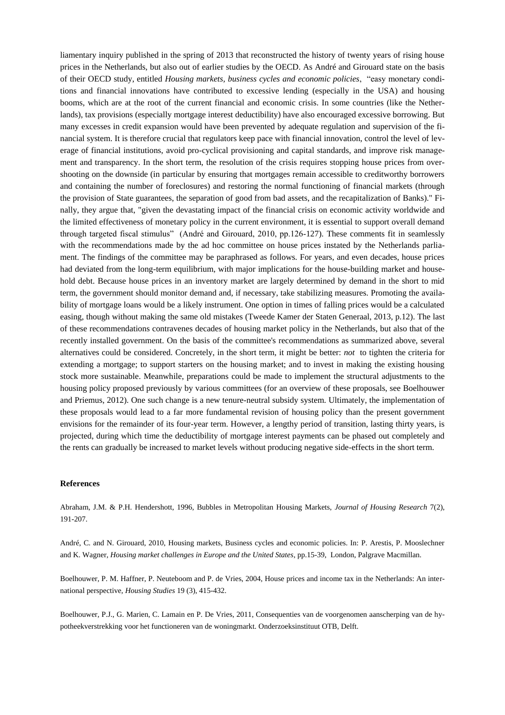liamentary inquiry published in the spring of 2013 that reconstructed the history of twenty years of rising house prices in the Netherlands, but also out of earlier studies by the OECD. As André and Girouard state on the basis of their OECD study, entitled *Housing markets, business cycles and economic policies*, "easy monetary conditions and financial innovations have contributed to excessive lending (especially in the USA) and housing booms, which are at the root of the current financial and economic crisis. In some countries (like the Netherlands), tax provisions (especially mortgage interest deductibility) have also encouraged excessive borrowing. But many excesses in credit expansion would have been prevented by adequate regulation and supervision of the financial system. It is therefore crucial that regulators keep pace with financial innovation, control the level of leverage of financial institutions, avoid pro-cyclical provisioning and capital standards, and improve risk management and transparency. In the short term, the resolution of the crisis requires stopping house prices from overshooting on the downside (in particular by ensuring that mortgages remain accessible to creditworthy borrowers and containing the number of foreclosures) and restoring the normal functioning of financial markets (through the provision of State guarantees, the separation of good from bad assets, and the recapitalization of Banks)." Finally, they argue that, "given the devastating impact of the financial crisis on economic activity worldwide and the limited effectiveness of monetary policy in the current environment, it is essential to support overall demand through targeted fiscal stimulus" (André and Girouard, 2010, pp.126-127). These comments fit in seamlessly with the recommendations made by the ad hoc committee on house prices instated by the Netherlands parliament. The findings of the committee may be paraphrased as follows. For years, and even decades, house prices had deviated from the long-term equilibrium, with major implications for the house-building market and household debt. Because house prices in an inventory market are largely determined by demand in the short to mid term, the government should monitor demand and, if necessary, take stabilizing measures. Promoting the availability of mortgage loans would be a likely instrument. One option in times of falling prices would be a calculated easing, though without making the same old mistakes (Tweede Kamer der Staten Generaal, 2013, p.12). The last of these recommendations contravenes decades of housing market policy in the Netherlands, but also that of the recently installed government. On the basis of the committee's recommendations as summarized above, several alternatives could be considered. Concretely, in the short term, it might be better: *not* to tighten the criteria for extending a mortgage; to support starters on the housing market; and to invest in making the existing housing stock more sustainable. Meanwhile, preparations could be made to implement the structural adjustments to the housing policy proposed previously by various committees (for an overview of these proposals, see Boelhouwer and Priemus, 2012). One such change is a new tenure-neutral subsidy system. Ultimately, the implementation of these proposals would lead to a far more fundamental revision of housing policy than the present government envisions for the remainder of its four-year term. However, a lengthy period of transition, lasting thirty years, is projected, during which time the deductibility of mortgage interest payments can be phased out completely and the rents can gradually be increased to market levels without producing negative side-effects in the short term.

#### **References**

Abraham, J.M. & P.H. Hendershott, 1996, Bubbles in Metropolitan Housing Markets, *Journal of Housing Research* 7(2), 191-207.

André, C. and N. Girouard, 2010, Housing markets, Business cycles and economic policies. In: P. Arestis, P. Mooslechner and K. Wagner, *Housing market challenges in Europe and the United States*, pp.15-39, London, Palgrave Macmillan.

Boelhouwer, P. M. Haffner, P. Neuteboom and P. de Vries, 2004, House prices and income tax in the Netherlands: An international perspective, *Housing Studies* 19 (3), 415-432.

Boelhouwer, P.J., G. Marien, C. Lamain en P. De Vries, 2011, Consequenties van de voorgenomen aanscherping van de hypotheekverstrekking voor het functioneren van de woningmarkt. Onderzoeksinstituut OTB, Delft.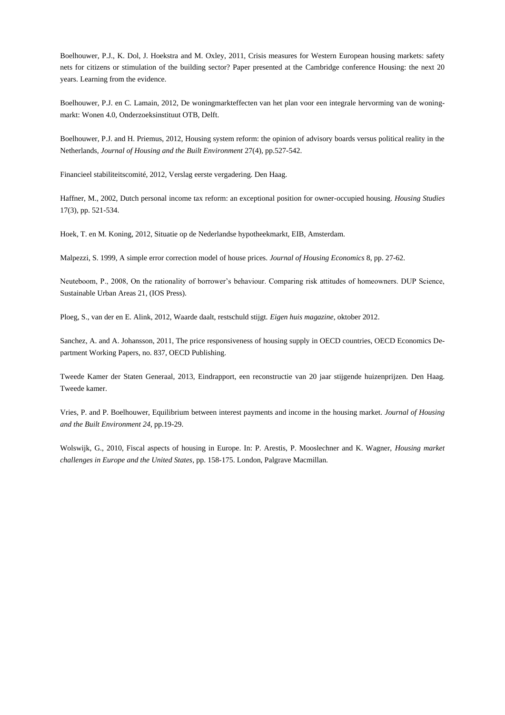Boelhouwer, P.J., K. Dol, J. Hoekstra and M. Oxley, 2011, Crisis measures for Western European housing markets: safety nets for citizens or stimulation of the building sector? Paper presented at the Cambridge conference Housing: the next 20 years. Learning from the evidence.

Boelhouwer, P.J. en C. Lamain, 2012, De woningmarkteffecten van het plan voor een integrale hervorming van de woningmarkt: Wonen 4.0, Onderzoeksinstituut OTB, Delft.

Boelhouwer, P.J. and H. Priemus, 2012, Housing system reform: the opinion of advisory boards versus political reality in the Netherlands, *Journal of Housing and the Built Environment* 27(4), pp.527-542.

Financieel stabiliteitscomité, 2012, Verslag eerste vergadering. Den Haag.

Haffner, M., 2002, Dutch personal income tax reform: an exceptional position for owner-occupied housing. *Housing Studies* 17(3), pp. 521-534.

Hoek, T. en M. Koning, 2012, Situatie op de Nederlandse hypotheekmarkt, EIB, Amsterdam.

Malpezzi, S. 1999, A simple error correction model of house prices. *Journal of Housing Economics* 8, pp. 27-62.

Neuteboom, P., 2008, On the rationality of borrower's behaviour. Comparing risk attitudes of homeowners. DUP Science, Sustainable Urban Areas 21, (IOS Press).

Ploeg, S., van der en E. Alink, 2012, Waarde daalt, restschuld stijgt. *Eigen huis magazine*, oktober 2012.

Sanchez, A. and A. Johansson, 2011, The price responsiveness of housing supply in OECD countries, OECD Economics Department Working Papers, no. 837, OECD Publishing.

Tweede Kamer der Staten Generaal, 2013, Eindrapport, een reconstructie van 20 jaar stijgende huizenprijzen. Den Haag. Tweede kamer.

Vries, P. and P. Boelhouwer, Equilibrium between interest payments and income in the housing market. *Journal of Housing and the Built Environment 24*, pp.19-29.

Wolswijk, G., 2010, Fiscal aspects of housing in Europe. In: P. Arestis, P. Mooslechner and K. Wagner, *Housing market challenges in Europe and the United States*, pp. 158-175. London, Palgrave Macmillan.